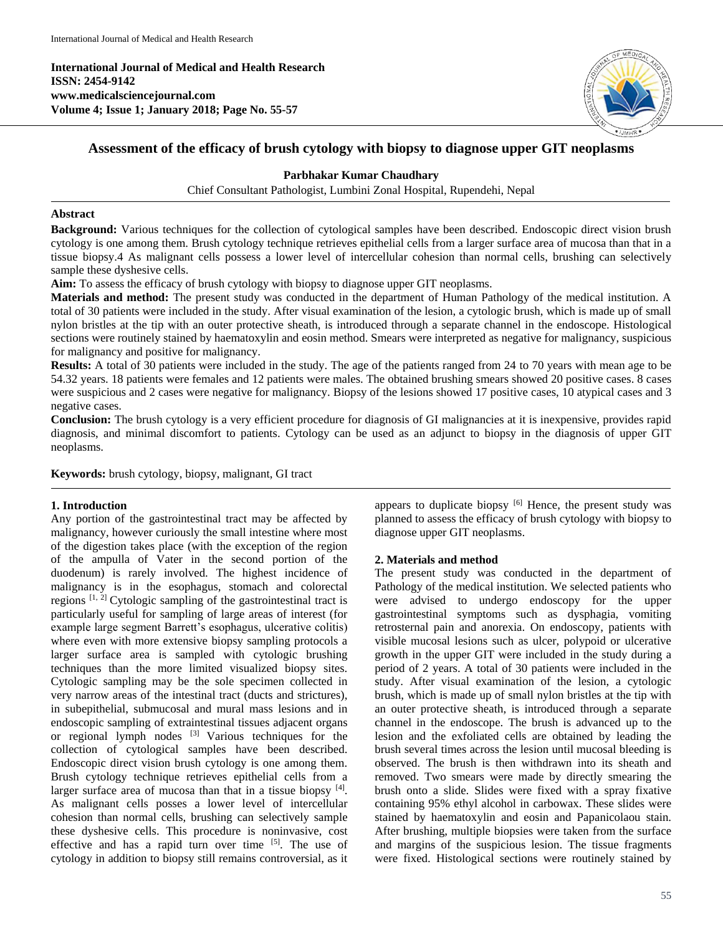**International Journal of Medical and Health Research ISSN: 2454-9142 www.medicalsciencejournal.com Volume 4; Issue 1; January 2018; Page No. 55-57**



# **Assessment of the efficacy of brush cytology with biopsy to diagnose upper GIT neoplasms**

**Parbhakar Kumar Chaudhary**

Chief Consultant Pathologist, Lumbini Zonal Hospital, Rupendehi, Nepal

### **Abstract**

**Background:** Various techniques for the collection of cytological samples have been described. Endoscopic direct vision brush cytology is one among them. Brush cytology technique retrieves epithelial cells from a larger surface area of mucosa than that in a tissue biopsy.4 As malignant cells possess a lower level of intercellular cohesion than normal cells, brushing can selectively sample these dyshesive cells.

**Aim:** To assess the efficacy of brush cytology with biopsy to diagnose upper GIT neoplasms.

**Materials and method:** The present study was conducted in the department of Human Pathology of the medical institution. A total of 30 patients were included in the study. After visual examination of the lesion, a cytologic brush, which is made up of small nylon bristles at the tip with an outer protective sheath, is introduced through a separate channel in the endoscope. Histological sections were routinely stained by haematoxylin and eosin method. Smears were interpreted as negative for malignancy, suspicious for malignancy and positive for malignancy.

**Results:** A total of 30 patients were included in the study. The age of the patients ranged from 24 to 70 years with mean age to be 54.32 years. 18 patients were females and 12 patients were males. The obtained brushing smears showed 20 positive cases. 8 cases were suspicious and 2 cases were negative for malignancy. Biopsy of the lesions showed 17 positive cases, 10 atypical cases and 3 negative cases.

**Conclusion:** The brush cytology is a very efficient procedure for diagnosis of GI malignancies at it is inexpensive, provides rapid diagnosis, and minimal discomfort to patients. Cytology can be used as an adjunct to biopsy in the diagnosis of upper GIT neoplasms.

**Keywords:** brush cytology, biopsy, malignant, GI tract

# **1. Introduction**

Any portion of the gastrointestinal tract may be affected by malignancy, however curiously the small intestine where most of the digestion takes place (with the exception of the region of the ampulla of Vater in the second portion of the duodenum) is rarely involved. The highest incidence of malignancy is in the esophagus, stomach and colorectal regions  $[1, 2]$  Cytologic sampling of the gastrointestinal tract is particularly useful for sampling of large areas of interest (for example large segment Barrett's esophagus, ulcerative colitis) where even with more extensive biopsy sampling protocols a larger surface area is sampled with cytologic brushing techniques than the more limited visualized biopsy sites. Cytologic sampling may be the sole specimen collected in very narrow areas of the intestinal tract (ducts and strictures), in subepithelial, submucosal and mural mass lesions and in endoscopic sampling of extraintestinal tissues adjacent organs or regional lymph nodes [3] Various techniques for the collection of cytological samples have been described. Endoscopic direct vision brush cytology is one among them. Brush cytology technique retrieves epithelial cells from a larger surface area of mucosa than that in a tissue biopsy [4]. As malignant cells posses a lower level of intercellular cohesion than normal cells, brushing can selectively sample these dyshesive cells. This procedure is noninvasive, cost effective and has a rapid turn over time [5]. The use of cytology in addition to biopsy still remains controversial, as it appears to duplicate biopsy [6] Hence, the present study was planned to assess the efficacy of brush cytology with biopsy to diagnose upper GIT neoplasms.

#### **2. Materials and method**

The present study was conducted in the department of Pathology of the medical institution. We selected patients who were advised to undergo endoscopy for the upper gastrointestinal symptoms such as dysphagia, vomiting retrosternal pain and anorexia. On endoscopy, patients with visible mucosal lesions such as ulcer, polypoid or ulcerative growth in the upper GIT were included in the study during a period of 2 years. A total of 30 patients were included in the study. After visual examination of the lesion, a cytologic brush, which is made up of small nylon bristles at the tip with an outer protective sheath, is introduced through a separate channel in the endoscope. The brush is advanced up to the lesion and the exfoliated cells are obtained by leading the brush several times across the lesion until mucosal bleeding is observed. The brush is then withdrawn into its sheath and removed. Two smears were made by directly smearing the brush onto a slide. Slides were fixed with a spray fixative containing 95% ethyl alcohol in carbowax. These slides were stained by haematoxylin and eosin and Papanicolaou stain. After brushing, multiple biopsies were taken from the surface and margins of the suspicious lesion. The tissue fragments were fixed. Histological sections were routinely stained by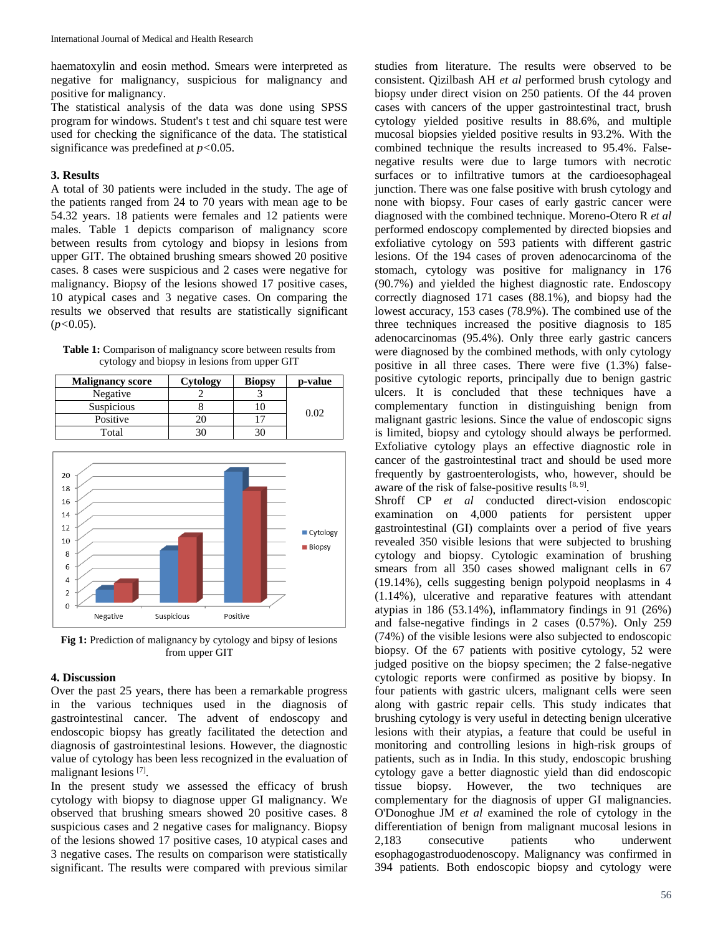haematoxylin and eosin method. Smears were interpreted as negative for malignancy, suspicious for malignancy and positive for malignancy.

The statistical analysis of the data was done using SPSS program for windows. Student's t test and chi square test were used for checking the significance of the data. The statistical significance was predefined at *p<*0.05.

## **3. Results**

A total of 30 patients were included in the study. The age of the patients ranged from 24 to 70 years with mean age to be 54.32 years. 18 patients were females and 12 patients were males. Table 1 depicts comparison of malignancy score between results from cytology and biopsy in lesions from upper GIT. The obtained brushing smears showed 20 positive cases. 8 cases were suspicious and 2 cases were negative for malignancy. Biopsy of the lesions showed 17 positive cases, 10 atypical cases and 3 negative cases. On comparing the results we observed that results are statistically significant (*p<*0.05).

Table 1: Comparison of malignancy score between results from cytology and biopsy in lesions from upper GIT

| <b>Malignancy score</b> | Cytology | <b>Biopsy</b> | p-value |
|-------------------------|----------|---------------|---------|
| Negative                |          |               | 9.02    |
| <b>Suspicious</b>       |          |               |         |
| Positive                |          |               |         |
| Total                   |          |               |         |



Fig 1: Prediction of malignancy by cytology and bipsy of lesions from upper GIT

# **4. Discussion**

Over the past 25 years, there has been a remarkable progress in the various techniques used in the diagnosis of gastrointestinal cancer. The advent of endoscopy and endoscopic biopsy has greatly facilitated the detection and diagnosis of gastrointestinal lesions. However, the diagnostic value of cytology has been less recognized in the evaluation of malignant lesions [7].

In the present study we assessed the efficacy of brush cytology with biopsy to diagnose upper GI malignancy. We observed that brushing smears showed 20 positive cases. 8 suspicious cases and 2 negative cases for malignancy. Biopsy of the lesions showed 17 positive cases, 10 atypical cases and 3 negative cases. The results on comparison were statistically significant. The results were compared with previous similar

studies from literature. The results were observed to be consistent. Qizilbash AH *et al* performed brush cytology and biopsy under direct vision on 250 patients. Of the 44 proven cases with cancers of the upper gastrointestinal tract, brush cytology yielded positive results in 88.6%, and multiple mucosal biopsies yielded positive results in 93.2%. With the combined technique the results increased to 95.4%. Falsenegative results were due to large tumors with necrotic surfaces or to infiltrative tumors at the cardioesophageal junction. There was one false positive with brush cytology and none with biopsy. Four cases of early gastric cancer were diagnosed with the combined technique. Moreno-Otero R *et al* performed endoscopy complemented by directed biopsies and exfoliative cytology on 593 patients with different gastric lesions. Of the 194 cases of proven adenocarcinoma of the stomach, cytology was positive for malignancy in 176 (90.7%) and yielded the highest diagnostic rate. Endoscopy correctly diagnosed 171 cases (88.1%), and biopsy had the lowest accuracy, 153 cases (78.9%). The combined use of the three techniques increased the positive diagnosis to 185 adenocarcinomas (95.4%). Only three early gastric cancers were diagnosed by the combined methods, with only cytology positive in all three cases. There were five (1.3%) falsepositive cytologic reports, principally due to benign gastric ulcers. It is concluded that these techniques have a complementary function in distinguishing benign from malignant gastric lesions. Since the value of endoscopic signs is limited, biopsy and cytology should always be performed. Exfoliative cytology plays an effective diagnostic role in cancer of the gastrointestinal tract and should be used more frequently by gastroenterologists, who, however, should be aware of the risk of false-positive results  $[8, 9]$ .

Shroff CP *et al* conducted direct-vision endoscopic examination on 4,000 patients for persistent upper gastrointestinal (GI) complaints over a period of five years revealed 350 visible lesions that were subjected to brushing cytology and biopsy. Cytologic examination of brushing smears from all 350 cases showed malignant cells in 67 (19.14%), cells suggesting benign polypoid neoplasms in 4 (1.14%), ulcerative and reparative features with attendant atypias in 186 (53.14%), inflammatory findings in 91 (26%) and false-negative findings in 2 cases (0.57%). Only 259 (74%) of the visible lesions were also subjected to endoscopic biopsy. Of the 67 patients with positive cytology, 52 were judged positive on the biopsy specimen; the 2 false-negative cytologic reports were confirmed as positive by biopsy. In four patients with gastric ulcers, malignant cells were seen along with gastric repair cells. This study indicates that brushing cytology is very useful in detecting benign ulcerative lesions with their atypias, a feature that could be useful in monitoring and controlling lesions in high-risk groups of patients, such as in India. In this study, endoscopic brushing cytology gave a better diagnostic yield than did endoscopic tissue biopsy. However, the two techniques are complementary for the diagnosis of upper GI malignancies. O'Donoghue JM *et al* examined the role of cytology in the differentiation of benign from malignant mucosal lesions in 2,183 consecutive patients who underwent esophagogastroduodenoscopy. Malignancy was confirmed in 394 patients. Both endoscopic biopsy and cytology were